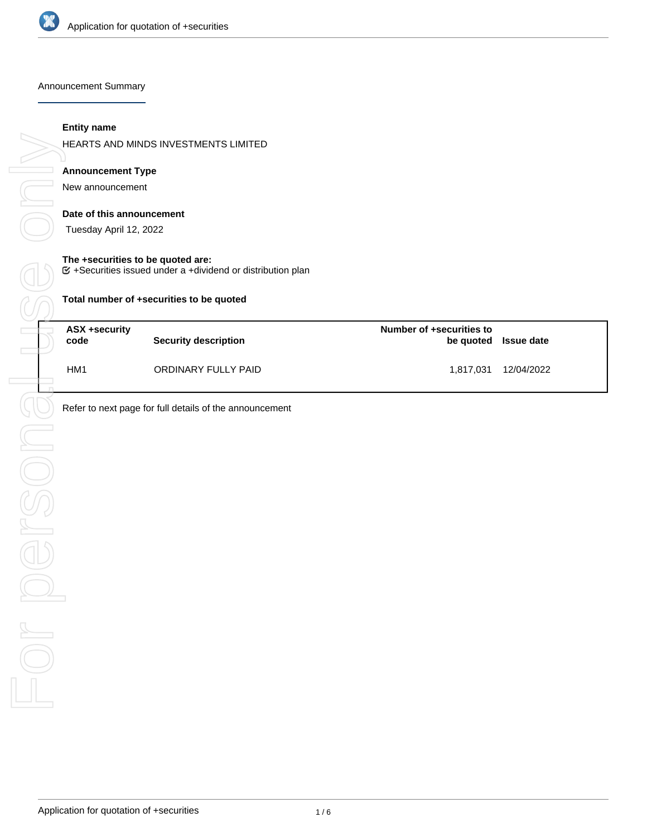

Announcement Summary

#### **Entity name**

HEARTS AND MINDS INVESTMENTS LIMITED

# **Announcement Type**

New announcement

#### **Date of this announcement**

Tuesday April 12, 2022

#### **The +securities to be quoted are:**

 $G$  +Securities issued under a +dividend or distribution plan

**Total number of +securities to be quoted**

| ASX +security<br>code | <b>Security description</b> | Number of +securities to | be quoted Issue date |
|-----------------------|-----------------------------|--------------------------|----------------------|
| HM <sub>1</sub>       | ORDINARY FULLY PAID         | 1,817,031                | 12/04/2022           |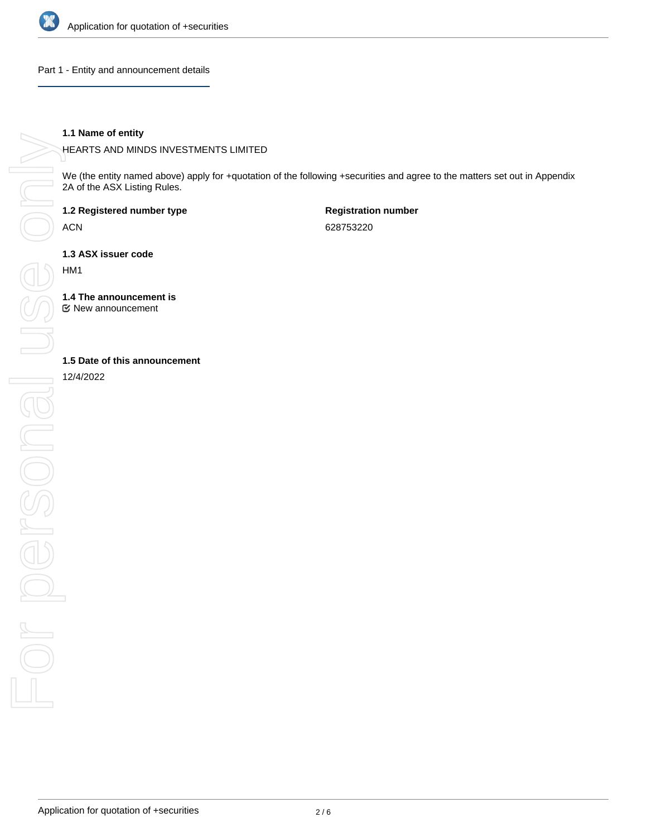

Part 1 - Entity and announcement details

#### **1.1 Name of entity**

HEARTS AND MINDS INVESTMENTS LIMITED

We (the entity named above) apply for +quotation of the following +securities and agree to the matters set out in Appendix 2A of the ASX Listing Rules.

**1.2 Registered number type**

ACN

**Registration number** 628753220

**1.3 ASX issuer code**

HM1

**1.4 The announcement is**

New announcement

12/4/2022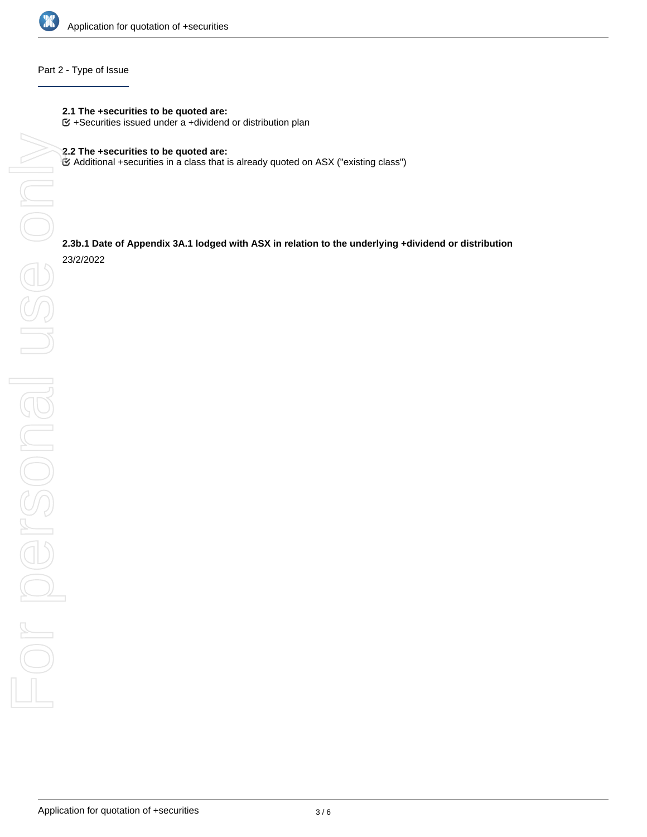

## Part 2 - Type of Issue

- **2.1 The +securities to be quoted are:**
- $G$  +Securities issued under a +dividend or distribution plan

Additional +securities in a class that is already quoted on ASX ("existing class")

# **2.3b.1 Date of Appendix 3A.1 lodged with ASX in relation to the underlying +dividend or distribution**

23/2/2022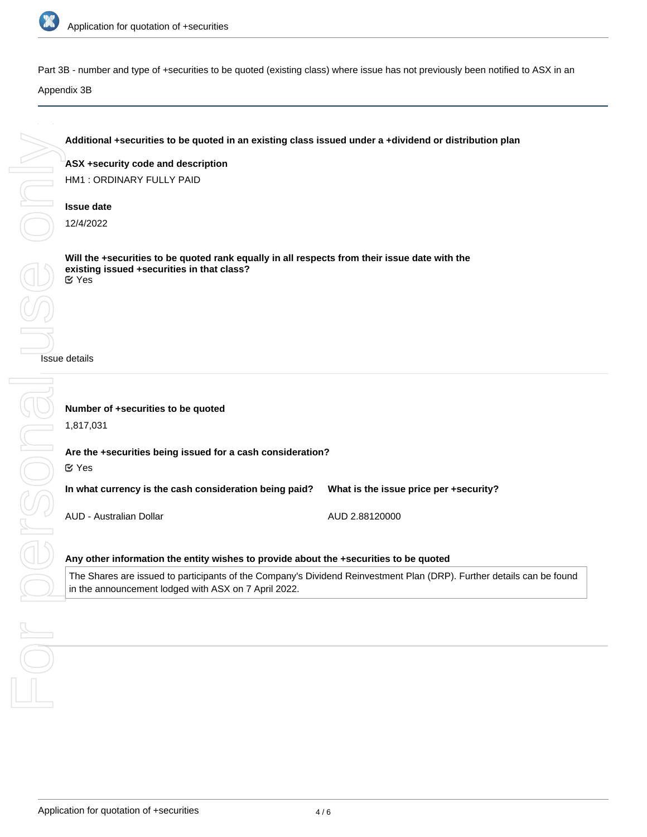

Part 3B - number and type of +securities to be quoted (existing class) where issue has not previously been notified to ASX in an

**Additional +securities to be quoted in an existing class issued under a +dividend or distribution plan**

## Appendix 3B

**ASX +security code and description** HM1 : ORDINARY FULLY PAID **Issue date** 12/4/2022 **Will the +securities to be quoted rank equally in all respects from their issue date with the existing issued +securities in that class?** Issue details **Number of +securities to be quoted** 1,817,031 **Are the +securities being issued for a cash consideration? In what currency is the cash consideration being paid?** AUD - Australian Dollar **What is the issue price per +security?** AUD 2.88120000 **Any other information the entity wishes to provide about the +securities to be quoted** Yes Yes

The Shares are issued to participants of the Company's Dividend Reinvestment Plan (DRP). Further details can be found in the announcement lodged with ASX on 7 April 2022.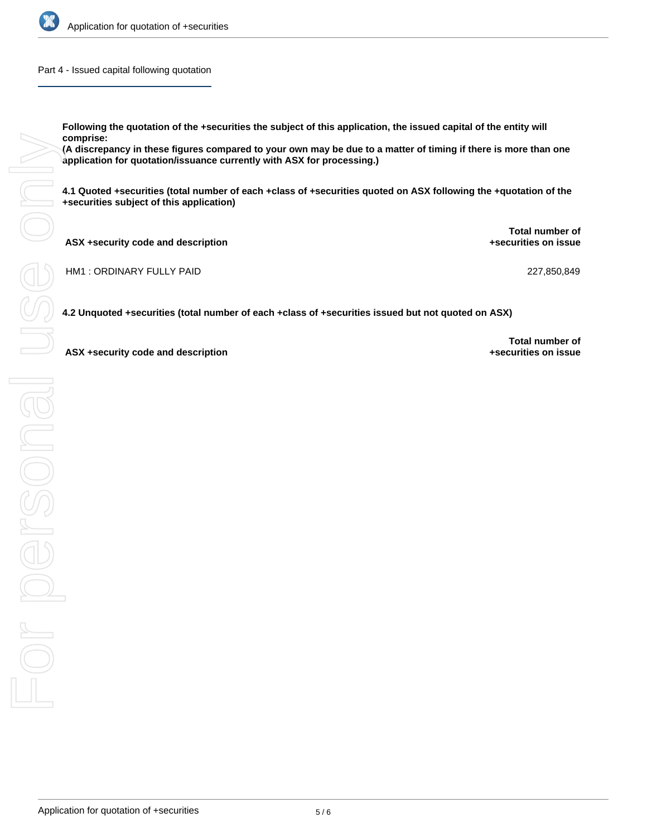

Part 4 - Issued capital following quotation

**Following the quotation of the +securities the subject of this application, the issued capital of the entity will comprise:**

**(A discrepancy in these figures compared to your own may be due to a matter of timing if there is more than one application for quotation/issuance currently with ASX for processing.)**

**4.1 Quoted +securities (total number of each +class of +securities quoted on ASX following the +quotation of the +securities subject of this application)**

| ASX +security code and description | Total number of<br>+securities on issue |
|------------------------------------|-----------------------------------------|
| HM1: ORDINARY FULLY PAID           | 227,850,849                             |

**4.2 Unquoted +securities (total number of each +class of +securities issued but not quoted on ASX)**

**ASX +security code and description**

**Total number of +securities on issue**